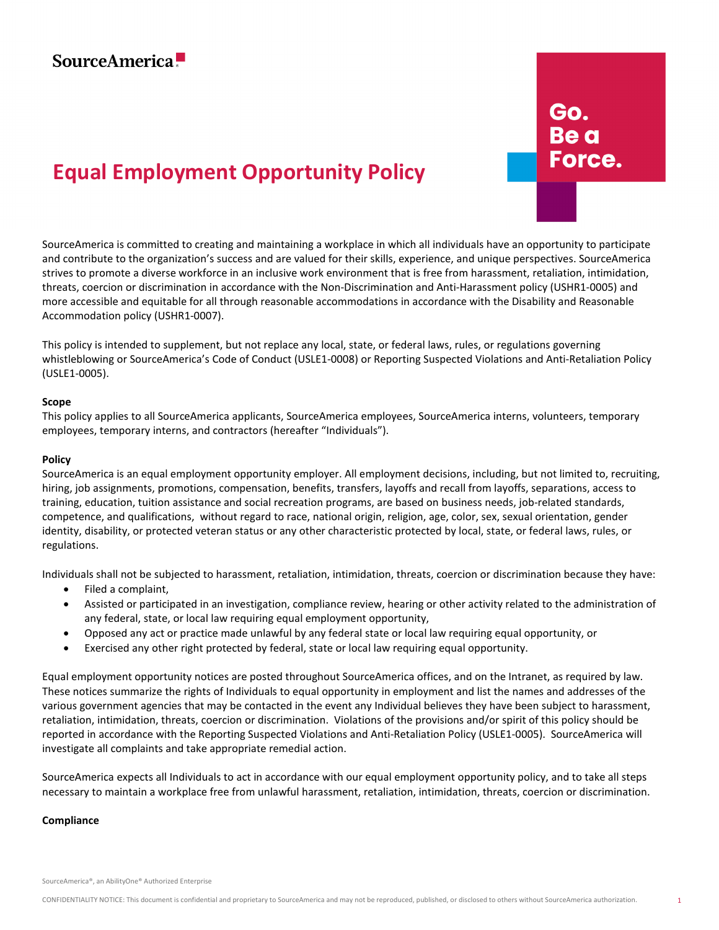## **Equal Employment Opportunity Policy**

SourceAmerica is committed to creating and maintaining a workplace in which all individuals have an opportunity to participate and contribute to the organization's success and are valued for their skills, experience, and unique perspectives. SourceAmerica strives to promote a diverse workforce in an inclusive work environment that is free from harassment, retaliation, intimidation, threats, coercion or discrimination in accordance with the Non-Discrimination and Anti-Harassment policy (USHR1-0005) and more accessible and equitable for all through reasonable accommodations in accordance with the Disability and Reasonable Accommodation policy (USHR1-0007).

Go. **Be a** 

**Force.** 

This policy is intended to supplement, but not replace any local, state, or federal laws, rules, or regulations governing whistleblowing or SourceAmerica's Code of Conduct (USLE1-0008) or Reporting Suspected Violations and Anti-Retaliation Policy (USLE1-0005).

## **Scope**

This policy applies to all SourceAmerica applicants, SourceAmerica employees, SourceAmerica interns, volunteers, temporary employees, temporary interns, and contractors (hereafter "Individuals").

## **Policy**

SourceAmerica is an equal employment opportunity employer. All employment decisions, including, but not limited to, recruiting, hiring, job assignments, promotions, compensation, benefits, transfers, layoffs and recall from layoffs, separations, access to training, education, tuition assistance and social recreation programs, are based on business needs, job-related standards, competence, and qualifications, without regard to race, national origin, religion, age, color, sex, sexual orientation, gender identity, disability, or protected veteran status or any other characteristic protected by local, state, or federal laws, rules, or regulations.

Individuals shall not be subjected to harassment, retaliation, intimidation, threats, coercion or discrimination because they have:

- Filed a complaint,
- Assisted or participated in an investigation, compliance review, hearing or other activity related to the administration of any federal, state, or local law requiring equal employment opportunity,
- Opposed any act or practice made unlawful by any federal state or local law requiring equal opportunity, or
- Exercised any other right protected by federal, state or local law requiring equal opportunity.

Equal employment opportunity notices are posted throughout SourceAmerica offices, and on the Intranet, as required by law. These notices summarize the rights of Individuals to equal opportunity in employment and list the names and addresses of the various government agencies that may be contacted in the event any Individual believes they have been subject to harassment, retaliation, intimidation, threats, coercion or discrimination. Violations of the provisions and/or spirit of this policy should be reported in accordance with the Reporting Suspected Violations and Anti-Retaliation Policy (USLE1-0005). SourceAmerica will investigate all complaints and take appropriate remedial action.

SourceAmerica expects all Individuals to act in accordance with our equal employment opportunity policy, and to take all steps necessary to maintain a workplace free from unlawful harassment, retaliation, intimidation, threats, coercion or discrimination.

## **Compliance**